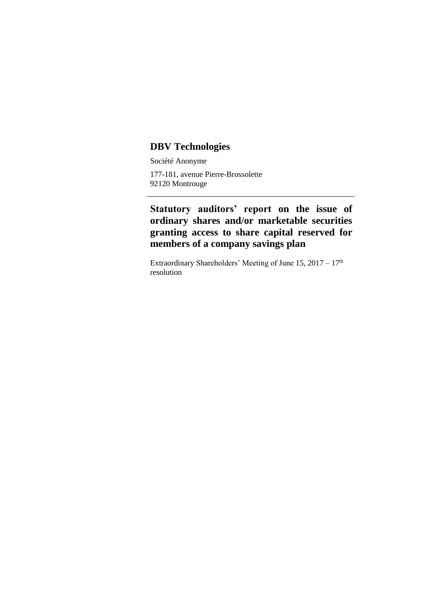## **DBV Technologies**

Société Anonyme

177-181, avenue Pierre-Brossolette 92120 Montrouge

**Statutory auditors' report on the issue of ordinary shares and/or marketable securities granting access to share capital reserved for members of a company savings plan**

Extraordinary Shareholders' Meeting of June 15, 2017 – 17<sup>th</sup> resolution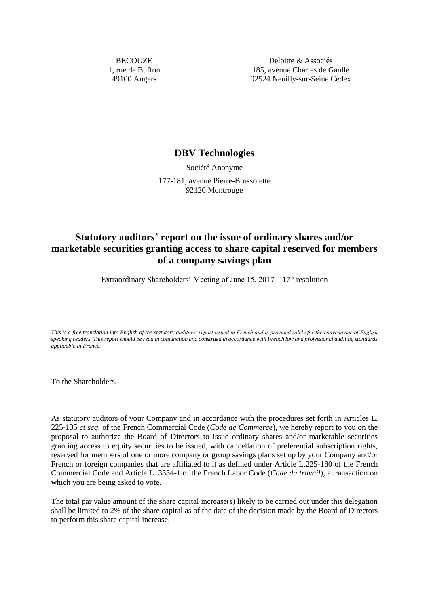**BECOUZE** 1, rue de Buffon 49100 Angers

Deloitte & Associés 185, avenue Charles de Gaulle 92524 Neuilly-sur-Seine Cedex

## **DBV Technologies**

Société Anonyme 177-181, avenue Pierre-Brossolette 92120 Montrouge

## **Statutory auditors' report on the issue of ordinary shares and/or marketable securities granting access to share capital reserved for members of a company savings plan**

Extraordinary Shareholders' Meeting of June 15,  $2017 - 17<sup>th</sup>$  resolution

*This is a free translation into English of the statutory auditors' report issued in French and is provided solely for the convenience of English speaking readers. This report should be read in conjunction and construed in accordance with French law and professional auditing standards applicable in France.*

To the Shareholders,

As statutory auditors of your Company and in accordance with the procedures set forth in Articles L. 225-135 *et seq.* of the French Commercial Code (*Code de Commerce*), we hereby report to you on the proposal to authorize the Board of Directors to issue ordinary shares and/or marketable securities granting access to equity securities to be issued, with cancellation of preferential subscription rights, reserved for members of one or more company or group savings plans set up by your Company and/or French or foreign companies that are affiliated to it as defined under Article L.225-180 of the French Commercial Code and Article L. 3334-1 of the French Labor Code (*Code du travail*), a transaction on which you are being asked to vote.

The total par value amount of the share capital increase(s) likely to be carried out under this delegation shall be limited to 2% of the share capital as of the date of the decision made by the Board of Directors to perform this share capital increase.